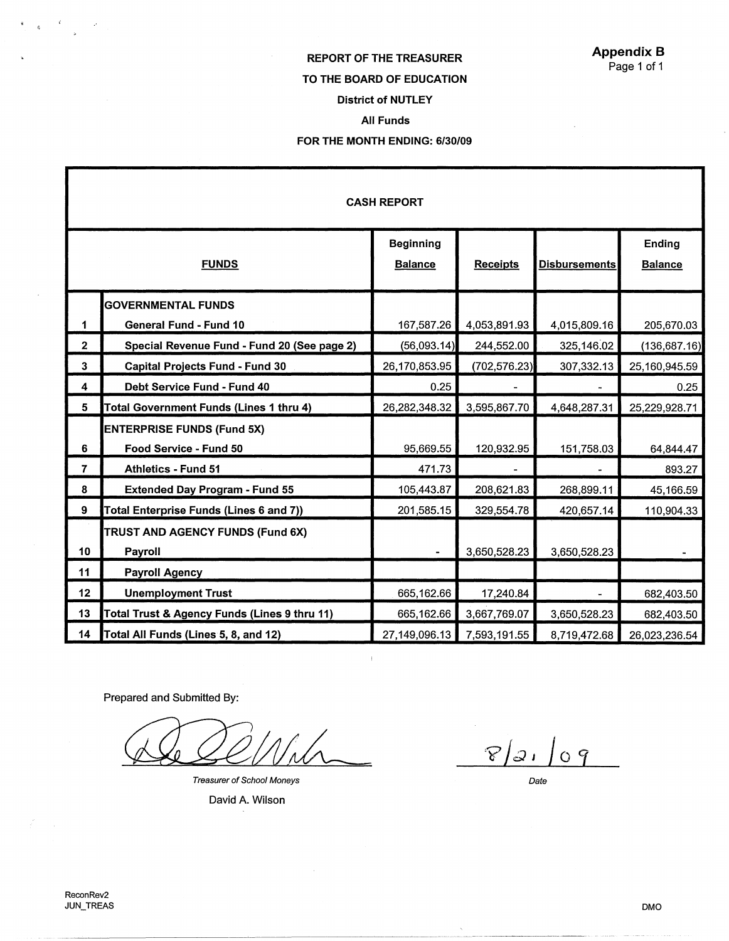### Appendix B Page 1 of 1

# REPORT OF THE TREASURER TO THE BOARD OF EDUCATION

# District of NUTLEY

### All Funds

### FOR THE MONTH ENDING: 6/30/09

|                | <b>CASH REPORT</b>                           |                                    |                 |                      |                          |  |  |  |
|----------------|----------------------------------------------|------------------------------------|-----------------|----------------------|--------------------------|--|--|--|
|                | <b>FUNDS</b>                                 | <b>Beginning</b><br><b>Balance</b> | <b>Receipts</b> | <b>Disbursements</b> | Ending<br><b>Balance</b> |  |  |  |
|                | <b>GOVERNMENTAL FUNDS</b>                    |                                    |                 |                      |                          |  |  |  |
| 1              | <b>General Fund - Fund 10</b>                | 167,587.26                         | 4,053,891.93    | 4,015,809.16         | 205,670.03               |  |  |  |
| $\mathbf{2}$   | Special Revenue Fund - Fund 20 (See page 2)  | (56,093.14)                        | 244,552.00      | 325,146.02           | (136, 687.16)            |  |  |  |
| 3              | <b>Capital Projects Fund - Fund 30</b>       | 26,170,853.95                      | (702, 576.23)   | 307,332.13           | 25,160,945.59            |  |  |  |
| 4              | Debt Service Fund - Fund 40                  | 0.25                               |                 |                      | 0.25                     |  |  |  |
| 5              | Total Government Funds (Lines 1 thru 4)      | 26,282,348.32                      | 3,595,867.70    | 4,648,287.31         | 25,229,928.71            |  |  |  |
|                | <b>ENTERPRISE FUNDS (Fund 5X)</b>            |                                    |                 |                      |                          |  |  |  |
| 6              | Food Service - Fund 50                       | 95,669.55                          | 120,932.95      | 151,758.03           | 64,844.47                |  |  |  |
| $\overline{7}$ | <b>Athletics - Fund 51</b>                   | 471.73                             |                 |                      | 893.27                   |  |  |  |
| 8              | <b>Extended Day Program - Fund 55</b>        | 105,443.87                         | 208,621.83      | 268,899.11           | 45,166.59                |  |  |  |
| 9              | Total Enterprise Funds (Lines 6 and 7))      | 201,585.15                         | 329,554.78      | 420,657.14           | 110,904.33               |  |  |  |
|                | TRUST AND AGENCY FUNDS (Fund 6X)             |                                    |                 |                      |                          |  |  |  |
| 10             | Payroll                                      |                                    | 3,650,528.23    | 3,650,528.23         |                          |  |  |  |
| 11             | <b>Payroll Agency</b>                        |                                    |                 |                      |                          |  |  |  |
| 12             | <b>Unemployment Trust</b>                    | 665,162.66                         | 17,240.84       |                      | 682,403.50               |  |  |  |
| 13             | Total Trust & Agency Funds (Lines 9 thru 11) | 665,162.66                         | 3,667,769.07    | 3,650,528.23         | 682,403.50               |  |  |  |
| 14             | Total All Funds (Lines 5, 8, and 12)         | 27,149,096.13                      | 7,593,191.55    | 8,719,472.68         | 26,023,236.54            |  |  |  |

-------~-~------------- ----

Prepared and Submitted By:

Treasurer of School Moneys

David A. Wilson

 $8/21$  $09$ 

Date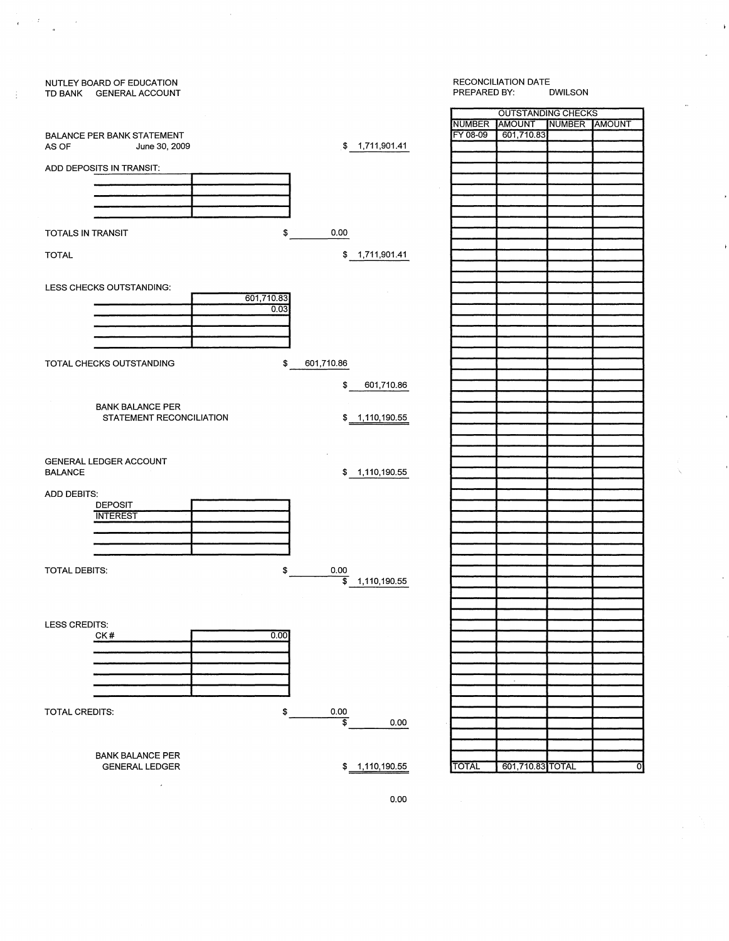

 $\frac{1}{C} \left( \frac{1}{\sqrt{2}} \right)^{2} \left( \frac{1}{\sqrt{2}} \right)^{2}$ 

÷

 $\sim 10^6$ 

#### RECONCILIATION DATE<br>PREPARED BY: DWILSON PREPARED BY:

 $\overline{ }$ 

| <b>OUTSTANDING CHECKS</b> |            |               |  |  |  |  |  |
|---------------------------|------------|---------------|--|--|--|--|--|
| <b>NUMBER</b>             | AMOUNT     | NUMBER AMOUNT |  |  |  |  |  |
| FY 08-09                  | 601,710.83 |               |  |  |  |  |  |
|                           |            |               |  |  |  |  |  |
|                           |            |               |  |  |  |  |  |
|                           |            |               |  |  |  |  |  |
|                           |            |               |  |  |  |  |  |
|                           |            |               |  |  |  |  |  |
|                           |            |               |  |  |  |  |  |
|                           |            |               |  |  |  |  |  |
|                           |            |               |  |  |  |  |  |
|                           |            |               |  |  |  |  |  |
|                           |            |               |  |  |  |  |  |
|                           |            |               |  |  |  |  |  |
|                           |            |               |  |  |  |  |  |
|                           |            |               |  |  |  |  |  |
|                           |            |               |  |  |  |  |  |
|                           |            |               |  |  |  |  |  |
|                           |            |               |  |  |  |  |  |
|                           |            |               |  |  |  |  |  |
|                           |            |               |  |  |  |  |  |
|                           |            |               |  |  |  |  |  |
|                           |            |               |  |  |  |  |  |
|                           |            |               |  |  |  |  |  |
|                           |            |               |  |  |  |  |  |
|                           |            |               |  |  |  |  |  |
|                           |            |               |  |  |  |  |  |
|                           |            |               |  |  |  |  |  |
|                           |            |               |  |  |  |  |  |
|                           |            |               |  |  |  |  |  |
|                           |            |               |  |  |  |  |  |
|                           |            |               |  |  |  |  |  |
|                           |            |               |  |  |  |  |  |
|                           |            |               |  |  |  |  |  |
|                           |            |               |  |  |  |  |  |
|                           |            |               |  |  |  |  |  |
|                           |            |               |  |  |  |  |  |
|                           |            |               |  |  |  |  |  |
|                           |            |               |  |  |  |  |  |
|                           |            |               |  |  |  |  |  |
|                           |            |               |  |  |  |  |  |
|                           |            |               |  |  |  |  |  |
|                           |            |               |  |  |  |  |  |
|                           |            |               |  |  |  |  |  |
|                           |            |               |  |  |  |  |  |
|                           |            |               |  |  |  |  |  |
|                           |            |               |  |  |  |  |  |
|                           |            |               |  |  |  |  |  |
|                           |            |               |  |  |  |  |  |
|                           |            |               |  |  |  |  |  |
|                           |            |               |  |  |  |  |  |
|                           |            |               |  |  |  |  |  |
|                           |            |               |  |  |  |  |  |
|                           |            |               |  |  |  |  |  |
|                           |            |               |  |  |  |  |  |
|                           |            |               |  |  |  |  |  |
|                           |            |               |  |  |  |  |  |
|                           |            |               |  |  |  |  |  |
|                           |            |               |  |  |  |  |  |
|                           |            |               |  |  |  |  |  |
|                           |            |               |  |  |  |  |  |
|                           |            |               |  |  |  |  |  |

0.00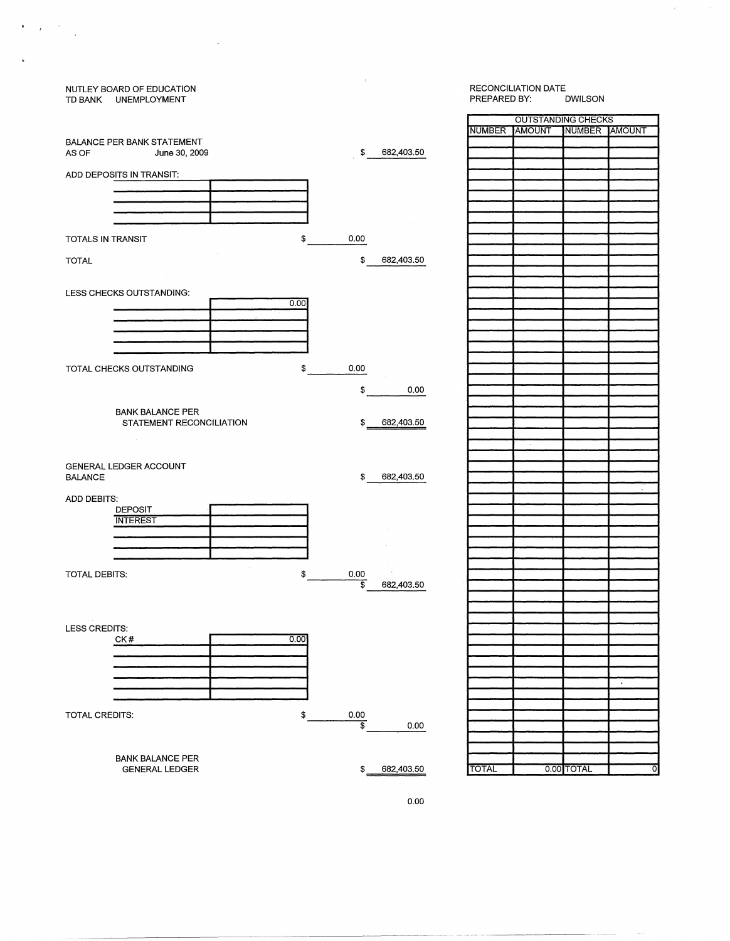#### NUTLEY BOARD OF EDUCATION RECONCILIATION DATE TD BANK UNEMPLOYMENT NOTIFIED BY: DWILSON BY: DWILSON

 $\mathcal{L}_{\text{max}}$  .

 $\begin{aligned} \mathbf{B} & = \frac{1}{T} \left( \begin{array}{cc} \mathbf{A} & \mathbf{A} \\ \mathbf{A} & \mathbf{A} \end{array} \right) \mathbf{A} \mathbf{A} \mathbf{A} \mathbf{A} \mathbf{A} \mathbf{A} \mathbf{A} \mathbf{A} \mathbf{A} \mathbf{A} \mathbf{A} \mathbf{A} \mathbf{A} \mathbf{A} \mathbf{A} \mathbf{A} \mathbf{A} \mathbf{A} \mathbf{A} \mathbf{A} \mathbf{A} \mathbf{A} \mathbf{A} \mathbf{A} \mathbf{A} \mathbf{A$ 

 $\tilde{\mathbf{r}}$ 

| RECONCILIATION DATE |         |
|---------------------|---------|
| PREPARED BY:        | DWILSON |

г

 $\mathcal{F}$ 

|                                |                  |               | OU ISTANDING CHECKS |               |           |
|--------------------------------|------------------|---------------|---------------------|---------------|-----------|
|                                |                  | <b>NUMBER</b> | AMOUNT              | NUMBER AMOUNT |           |
| BALANCE PER BANK STATEMENT     |                  |               |                     |               |           |
| AS OF<br>June 30, 2009         | \$<br>682,403.50 |               |                     |               |           |
|                                |                  |               |                     |               |           |
| ADD DEPOSITS IN TRANSIT:       |                  |               |                     |               |           |
|                                |                  |               |                     |               |           |
|                                |                  |               |                     |               |           |
|                                |                  |               |                     |               |           |
|                                |                  |               |                     |               |           |
|                                |                  |               |                     |               |           |
| \$<br>TOTALS IN TRANSIT        | 0.00             |               |                     |               |           |
|                                |                  |               |                     |               |           |
|                                |                  |               |                     |               |           |
| <b>TOTAL</b>                   | \$<br>682,403.50 |               |                     |               |           |
|                                |                  |               |                     |               |           |
|                                |                  |               |                     |               |           |
| LESS CHECKS OUTSTANDING:       |                  |               |                     |               |           |
| 0.00                           |                  |               |                     |               |           |
|                                |                  |               |                     |               |           |
|                                |                  |               |                     |               |           |
|                                |                  |               |                     |               |           |
|                                |                  |               |                     |               |           |
|                                |                  |               |                     |               |           |
|                                |                  |               |                     |               |           |
| \$<br>TOTAL CHECKS OUTSTANDING | 0.00             |               |                     |               |           |
|                                |                  |               |                     |               |           |
|                                | \$<br>0.00       |               |                     |               |           |
|                                |                  |               |                     |               |           |
| <b>BANK BALANCE PER</b>        |                  |               |                     |               |           |
| STATEMENT RECONCILIATION       | \$<br>682,403.50 |               |                     |               |           |
|                                |                  |               |                     |               |           |
|                                |                  |               |                     |               |           |
|                                |                  |               |                     |               |           |
|                                |                  |               |                     |               |           |
| GENERAL LEDGER ACCOUNT         |                  |               |                     |               |           |
| <b>BALANCE</b>                 | \$<br>682,403.50 |               |                     |               |           |
|                                |                  |               |                     |               |           |
| <b>ADD DEBITS:</b>             |                  |               |                     |               |           |
| <b>DEPOSIT</b>                 |                  |               |                     |               |           |
| <b>INTEREST</b>                |                  |               |                     |               |           |
|                                |                  |               |                     |               |           |
|                                |                  |               |                     |               |           |
|                                |                  |               |                     |               |           |
|                                |                  |               |                     |               |           |
| TOTAL DEBITS:<br>\$            | 0.00             |               |                     |               |           |
|                                |                  |               |                     |               |           |
|                                | s<br>682,403.50  |               |                     |               |           |
|                                |                  |               |                     |               |           |
|                                |                  |               |                     |               |           |
|                                |                  |               |                     |               |           |
| LESS CREDITS:                  |                  |               |                     |               |           |
| CK#<br>0.00                    |                  |               |                     |               |           |
|                                |                  |               |                     |               |           |
|                                |                  |               |                     |               |           |
|                                |                  |               |                     |               |           |
|                                |                  |               |                     |               | $\bullet$ |
|                                |                  |               |                     |               |           |
|                                |                  |               |                     |               |           |
|                                |                  |               |                     |               |           |
| TOTAL CREDITS:<br>\$           | 0.00             |               |                     |               |           |
|                                | \$<br>0.00       |               |                     |               |           |
|                                |                  |               |                     |               |           |
|                                |                  |               |                     |               |           |
| <b>BANK BALANCE PER</b>        |                  |               |                     |               |           |
| <b>GENERAL LEDGER</b>          | \$<br>682,403.50 | <b>TOTAL</b>  |                     | 0.00 TOTAL    | ত         |
|                                |                  |               |                     |               |           |
|                                |                  |               |                     |               |           |

 $\sim 0.5$ 

0.00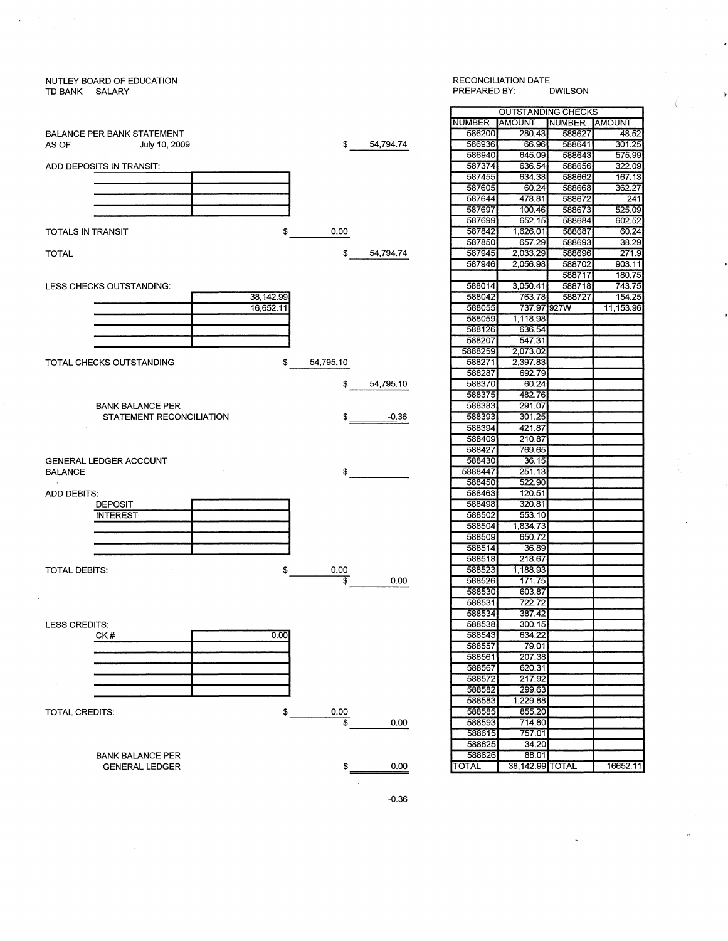#### \_NUTLEY BOARD OF EDUCATION TD BANK SALARY

 $\bar{z}$ 

 $\sim$ 

 $\bar{t}$ 

 $\sim$   $\sim$ 

## BALANCE PER BANK STATEMENT \$ 54,794.74 AS OF July 10, 2009 ADD DEPOSITS IN TRANSIT: TOTALS IN TRANSIT  $$ \_ 0.00$ TOTAL \$ 54,794.74 LESS CHECKS OUTSTANDING: 38,142.99 16,652.11 TOTAL CHECKS OUTSTANDING \$ 54,795.10 \$ 54,795.10 BANK BALANCE PER STATEMENT RECONCILIATION  $-0.36$ GENERAL LEDGER ACCOUNT BALANCE  $\texttt{\$}$ **ADD DEBITS:** DEPOSIT **INTEREST** TOTAL DEBITS:  $\frac{$}{9}$  0.00  $0.00$ LESS CREDITS:  $0.00$ CK# TOTAL CREDITS:  $\frac{1}{2}$  0.00  $\overline{\$}$  0.00 BANK BALANCE PER GENERAL LEDGER  $^{\circ}$   $^{\circ}$

#### RECONCILIATION DATE<br>PREPARED BY: DWILSON PREPARED BY:

| <b>OUTSTANDING CHECKS</b> |                 |               |                |  |  |  |
|---------------------------|-----------------|---------------|----------------|--|--|--|
| <b>NUMBER</b>             | AMOUNT          | <b>NUMBER</b> | <b>TAMOUNT</b> |  |  |  |
| 586200                    | 280.43          | 588627        | 48.52          |  |  |  |
| 586936                    | 66.96           | 588641        | 301.25         |  |  |  |
| 586940                    | 645.09          | 588643        | 575.99         |  |  |  |
| 587374                    | 636.54          | 588656        | 322.09         |  |  |  |
| 587455                    | 634.38          | 588662        | 167.13         |  |  |  |
| 587605                    | 60.24           | 588668        | 362.27         |  |  |  |
| 587644                    | 478.81          | 588672        | 241            |  |  |  |
| 587697                    | 100.46          | 588673        | 525.09         |  |  |  |
| 587699                    | 652.15          | 588684        | 602.52         |  |  |  |
| 587842                    | 1,626.01        | 588687        | 60.24          |  |  |  |
| 587850                    | 657.29          | 588693        | 38.29          |  |  |  |
| 587945                    | 2,033.29        | 588696        | 271.9          |  |  |  |
| 587946                    | 2,056.98        | 588702        | 903.11         |  |  |  |
|                           |                 | 588717        | 180.75         |  |  |  |
| 588014                    | 3,050.41        | 588718        | 743.75         |  |  |  |
| 588042                    | 763.78          | 588727        | 154.25         |  |  |  |
| 588055                    | 737.97 927W     |               | 11,153.96      |  |  |  |
| 588059                    | 1,118.98        |               |                |  |  |  |
| 588126                    | 636.54          |               |                |  |  |  |
| 588207                    | 547.31          |               |                |  |  |  |
| 5888259                   | 2,073.02        |               |                |  |  |  |
| 588271                    | 2,397.83        |               |                |  |  |  |
| 588287                    | 692.79          |               |                |  |  |  |
| 588370                    | 60.24           |               |                |  |  |  |
| 588375                    | 482.76          |               |                |  |  |  |
| 588383                    | 291.07          |               |                |  |  |  |
| 588393                    | 301.25          |               |                |  |  |  |
| 588394                    | 421.87          |               |                |  |  |  |
| 588409                    | 210.87          |               |                |  |  |  |
| 588427                    | 769.65          |               |                |  |  |  |
| 588430                    | 36.15           |               |                |  |  |  |
| 5888447                   | 251.13          |               |                |  |  |  |
| 588450                    | 522.90          |               |                |  |  |  |
| 588463                    | 120.51          |               |                |  |  |  |
| 588498                    | 320.81          |               |                |  |  |  |
| 588502                    | 553.10          |               |                |  |  |  |
| 588504                    | 1,834.73        |               |                |  |  |  |
| 588509                    | 650.72          |               |                |  |  |  |
| 588514                    | 36.89           |               |                |  |  |  |
| 588518                    | 218.67          |               |                |  |  |  |
| 588523                    | 1,188.93        |               |                |  |  |  |
| 588526                    | 171.75          |               |                |  |  |  |
| 588530                    | 603.87          |               |                |  |  |  |
| 588531                    | 722.72          |               |                |  |  |  |
| 588534                    | 387.42          |               |                |  |  |  |
| 588538                    | 300.15          |               |                |  |  |  |
| 588543                    | 634.22          |               |                |  |  |  |
| 588557                    | 79.01           |               |                |  |  |  |
| 588561                    | 207.38          |               |                |  |  |  |
| 588567                    | 620.31          |               |                |  |  |  |
| 588572                    | 217.92          |               |                |  |  |  |
| 588582                    | 299.63          |               |                |  |  |  |
| 588583                    | 1,229.88        |               |                |  |  |  |
| 588585                    | 855.20          |               |                |  |  |  |
| 588593                    | 714.80          |               |                |  |  |  |
| 588615                    | 757.01          |               |                |  |  |  |
| 588625                    | 34.20           |               |                |  |  |  |
| 588626                    | 88.01           |               |                |  |  |  |
| TOTAL                     | 38,142.99 TOTAL |               | 16652.11       |  |  |  |
|                           |                 |               |                |  |  |  |

-0.36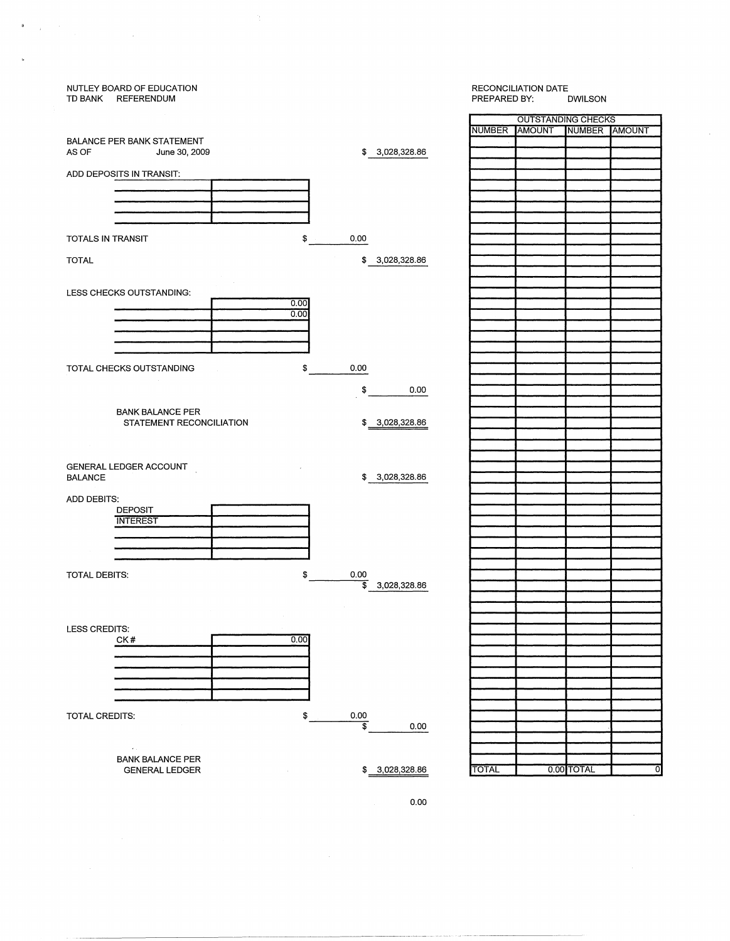| TD BANK REFERENDUM    | NUTLEY BOARD OF EDUCATION         |                  |                                 |                | PREPARED BY: | RECONCILIATION DATE       | <b>DWILSON</b> |   |
|-----------------------|-----------------------------------|------------------|---------------------------------|----------------|--------------|---------------------------|----------------|---|
|                       |                                   |                  |                                 |                |              | <b>OUTSTANDING CHECKS</b> |                |   |
|                       |                                   |                  |                                 |                |              | NUMBER AMOUNT             | NUMBER AMOUNT  |   |
|                       | <b>BALANCE PER BANK STATEMENT</b> |                  |                                 |                |              |                           |                |   |
| AS OF                 | June 30, 2009                     |                  |                                 | \$3,028,328.86 |              |                           |                |   |
|                       | ADD DEPOSITS IN TRANSIT:          |                  |                                 |                |              |                           |                |   |
|                       |                                   |                  |                                 |                |              |                           |                |   |
|                       |                                   |                  |                                 |                |              |                           |                |   |
|                       |                                   |                  |                                 |                |              |                           |                |   |
|                       |                                   |                  |                                 |                |              |                           |                |   |
| TOTALS IN TRANSIT     |                                   |                  | $\frac{1}{2}$<br>0.00           |                |              |                           |                |   |
|                       |                                   |                  |                                 |                |              |                           |                |   |
| <b>TOTAL</b>          |                                   |                  | \$                              | 3,028,328.86   |              |                           |                |   |
|                       |                                   |                  |                                 |                |              |                           |                |   |
|                       |                                   |                  |                                 |                |              |                           |                |   |
|                       | LESS CHECKS OUTSTANDING:          |                  |                                 |                |              |                           |                |   |
|                       |                                   | 0.00             |                                 |                |              |                           |                |   |
|                       |                                   | 0.00             |                                 |                |              |                           |                |   |
|                       |                                   |                  |                                 |                |              |                           |                |   |
|                       |                                   |                  |                                 |                |              |                           |                |   |
|                       |                                   |                  |                                 |                |              |                           |                |   |
|                       | TOTAL CHECKS OUTSTANDING          | \$<br>$\sim 100$ | 0.00                            |                |              |                           |                |   |
|                       |                                   |                  |                                 |                |              |                           |                |   |
|                       |                                   |                  | \$                              | 0.00           |              |                           |                |   |
|                       |                                   |                  |                                 |                |              |                           |                |   |
|                       | <b>BANK BALANCE PER</b>           |                  |                                 |                |              |                           |                |   |
|                       | STATEMENT RECONCILIATION          |                  |                                 | \$3,028,328.86 |              |                           |                |   |
|                       |                                   |                  |                                 |                |              |                           |                |   |
|                       |                                   |                  |                                 |                |              |                           |                |   |
|                       | GENERAL LEDGER ACCOUNT            |                  |                                 |                |              |                           |                |   |
| <b>BALANCE</b>        |                                   |                  |                                 | \$3,028,328.86 |              |                           |                |   |
|                       |                                   |                  |                                 |                |              |                           |                |   |
| ADD DEBITS:           |                                   |                  |                                 |                |              |                           |                |   |
|                       | <b>DEPOSIT</b>                    |                  |                                 |                |              |                           |                |   |
|                       | <b>INTEREST</b>                   |                  |                                 |                |              |                           |                |   |
|                       |                                   |                  |                                 |                |              |                           |                |   |
|                       |                                   |                  |                                 |                |              |                           |                |   |
|                       |                                   |                  |                                 |                |              |                           |                |   |
| TOTAL DEBITS:         |                                   | \$               | 0.00                            |                |              |                           |                |   |
|                       |                                   |                  | \$                              | 3,028,328.86   |              |                           |                |   |
|                       |                                   |                  |                                 |                |              |                           |                |   |
|                       |                                   |                  |                                 |                |              |                           |                |   |
| LESS CREDITS:         |                                   |                  |                                 |                |              |                           |                |   |
|                       | CK#                               | 0.00             |                                 |                |              |                           |                |   |
|                       |                                   |                  |                                 |                |              |                           |                |   |
|                       |                                   |                  |                                 |                |              |                           |                |   |
|                       |                                   |                  |                                 |                |              |                           |                |   |
|                       |                                   |                  |                                 |                |              |                           |                |   |
|                       |                                   |                  |                                 |                |              |                           |                |   |
|                       |                                   |                  |                                 |                |              |                           |                |   |
| <b>TOTAL CREDITS:</b> |                                   | \$               | 0.00<br>$\overline{\mathbb{s}}$ | 0.00           |              |                           |                |   |
|                       |                                   |                  |                                 |                |              |                           |                |   |
|                       | $\sigma_{\rm eff}$                |                  |                                 |                |              |                           |                |   |
|                       | <b>BANK BALANCE PER</b>           |                  |                                 |                |              |                           |                |   |
|                       | <b>GENERAL LEDGER</b>             |                  |                                 | \$3,028,328.86 | <b>TOTAL</b> |                           | 0.00 TOTAL     | ō |
|                       |                                   |                  |                                 |                |              |                           |                |   |

 $\Delta \bar{z}$ 

 $\begin{aligned} \mathbf{B} & = \frac{1}{2} \left( \begin{array}{cc} \mathbf{A} & \mathbf{A} & \mathbf{A} \\ \mathbf{A} & \mathbf{A} & \mathbf{A} \\ \mathbf{A} & \mathbf{A} & \mathbf{A} \end{array} \right) \mathbf{A} & = \frac{1}{2} \left( \begin{array}{cc} \mathbf{A} & \mathbf{A} & \mathbf{A} \\ \mathbf{A} & \mathbf{A} & \mathbf{A} \\ \mathbf{A} & \mathbf{A} & \mathbf{A} \end{array} \right) \mathbf{A} & = \frac{1}{2} \left( \begin{array}{cc}$ 

 $\label{eq:1} \mathbf{w} = \frac{1}{2} \mathbf{w} \mathbf{w}$ 

---------------------------~------- ~---------

ATE<br>DWILSON

 $\hat{\mathcal{L}}$ 

 $\sim$ 

0.00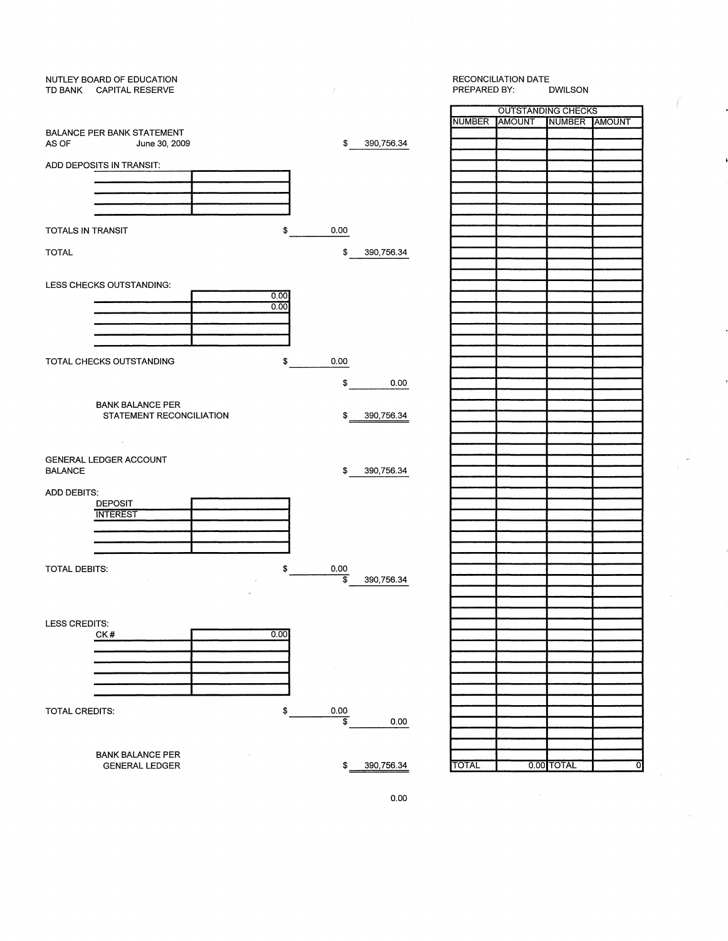## NUTLEY BOARD OF EDUCATION TD BANK CAPITAL RESERVE BALANCE PER BANK STATEMENT<br>AS OF June 30, 200 June 30, 2009 \$ 390,756.34 ADD DEPOSITS IN TRANSIT: TOTALS IN TRANSIT 0.00 \$ TOTAL \$ 390,756.34 LESS CHECKS OUTSTANDING:  $\frac{0.00}{0.00}$ TOTAL CHECKS OUTSTANDING \$ 0.00 \$ 0.00 BANK BALANCE PER STATEMENT RECONCILIATION \$ 390,756.34 GENERAL LEDGER ACCOUNT \$ 390,756.34 BALANCE **ADD DEBITS:** DEPOSIT **INTEREST** TOTAL DEBITS: 0.00 \$  $\frac{1}{3}$  390,756.34 LESS CREDITS:  $0.00$ CK# 001<br>1901 - 1901<br>1911 - 1912 - 1912 - 1912 - 1912 - 1912 - 1912 - 1912 - 1912 - 1912 - 1912 - 1912 - 1912 - 1912 - 1912 - 191 TOTAL CREDITS: \$ 0.00  $\frac{1}{2}$  0.00 BANK BALANCE PER GENERAL LEDGER \$ 390,756.34 TOTAL 0.00 TOTAL 0

#### RECONCILIATION DATE<br>PREPARED BY: DWILSON PREPARED BY:

| <b>OUTSTANDING CHECKS</b> |               |               |  |  |  |  |
|---------------------------|---------------|---------------|--|--|--|--|
| <b>NUMBER</b>             | <b>AMOUNT</b> | NUMBER AMOUNT |  |  |  |  |
|                           |               |               |  |  |  |  |
|                           |               |               |  |  |  |  |
|                           |               |               |  |  |  |  |
|                           |               |               |  |  |  |  |
|                           |               |               |  |  |  |  |
|                           |               |               |  |  |  |  |
|                           |               |               |  |  |  |  |
|                           |               |               |  |  |  |  |
|                           |               |               |  |  |  |  |
|                           |               |               |  |  |  |  |
|                           |               |               |  |  |  |  |
|                           |               |               |  |  |  |  |
|                           |               |               |  |  |  |  |
|                           |               |               |  |  |  |  |
|                           |               |               |  |  |  |  |
|                           |               |               |  |  |  |  |
|                           |               |               |  |  |  |  |
|                           |               |               |  |  |  |  |
|                           |               |               |  |  |  |  |
|                           |               |               |  |  |  |  |
|                           |               |               |  |  |  |  |
|                           |               |               |  |  |  |  |
|                           |               |               |  |  |  |  |
|                           |               |               |  |  |  |  |
|                           |               |               |  |  |  |  |
|                           |               |               |  |  |  |  |
|                           |               |               |  |  |  |  |
|                           |               |               |  |  |  |  |
|                           |               |               |  |  |  |  |
|                           |               |               |  |  |  |  |
|                           |               |               |  |  |  |  |
|                           |               |               |  |  |  |  |
|                           |               |               |  |  |  |  |
|                           |               |               |  |  |  |  |
|                           |               |               |  |  |  |  |
|                           |               |               |  |  |  |  |
|                           |               |               |  |  |  |  |
|                           |               |               |  |  |  |  |
|                           |               |               |  |  |  |  |
|                           |               |               |  |  |  |  |
|                           |               |               |  |  |  |  |
|                           |               |               |  |  |  |  |
|                           |               |               |  |  |  |  |
|                           |               |               |  |  |  |  |
|                           |               |               |  |  |  |  |
|                           |               |               |  |  |  |  |
|                           |               |               |  |  |  |  |
|                           |               |               |  |  |  |  |
|                           |               |               |  |  |  |  |
|                           |               |               |  |  |  |  |
|                           |               |               |  |  |  |  |
|                           |               |               |  |  |  |  |
|                           |               |               |  |  |  |  |
|                           |               |               |  |  |  |  |
|                           |               |               |  |  |  |  |
|                           |               |               |  |  |  |  |
|                           |               |               |  |  |  |  |
|                           |               |               |  |  |  |  |
|                           |               |               |  |  |  |  |
|                           |               |               |  |  |  |  |

0.00